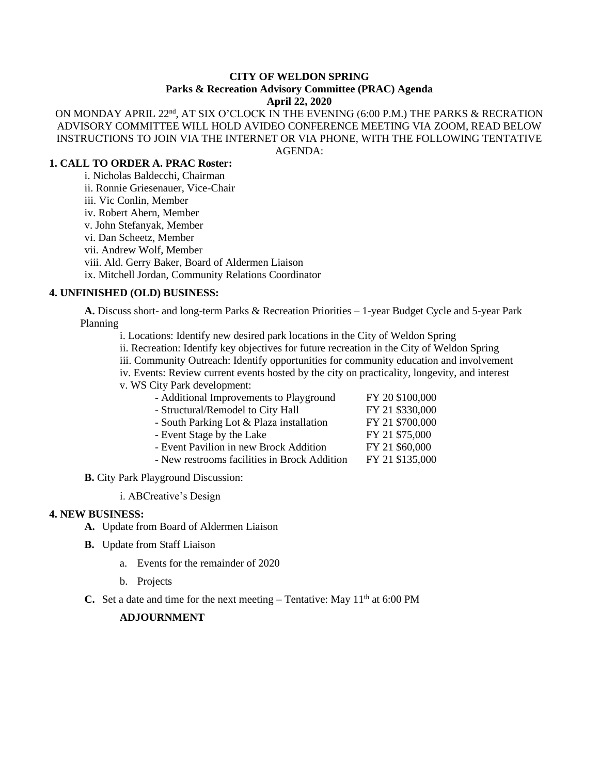### **CITY OF WELDON SPRING Parks & Recreation Advisory Committee (PRAC) Agenda April 22, 2020**

ON MONDAY APRIL 22<sup>nd</sup>, AT SIX O'CLOCK IN THE EVENING (6:00 P.M.) THE PARKS & RECRATION ADVISORY COMMITTEE WILL HOLD AVIDEO CONFERENCE MEETING VIA ZOOM, READ BELOW INSTRUCTIONS TO JOIN VIA THE INTERNET OR VIA PHONE, WITH THE FOLLOWING TENTATIVE AGENDA:

# **1. CALL TO ORDER A. PRAC Roster:**

i. Nicholas Baldecchi, Chairman

ii. Ronnie Griesenauer, Vice-Chair

iii. Vic Conlin, Member

iv. Robert Ahern, Member

v. John Stefanyak, Member

vi. Dan Scheetz, Member

vii. Andrew Wolf, Member

viii. Ald. Gerry Baker, Board of Aldermen Liaison

ix. Mitchell Jordan, Community Relations Coordinator

# **4. UNFINISHED (OLD) BUSINESS:**

**A.** Discuss short- and long-term Parks & Recreation Priorities – 1-year Budget Cycle and 5-year Park Planning

i. Locations: Identify new desired park locations in the City of Weldon Spring

- ii. Recreation: Identify key objectives for future recreation in the City of Weldon Spring
- iii. Community Outreach: Identify opportunities for community education and involvement

iv. Events: Review current events hosted by the city on practicality, longevity, and interest

v. WS City Park development:

| - Additional Improvements to Playground  | FY 20 \$100,000 |
|------------------------------------------|-----------------|
| - Structural/Remodel to City Hall        | FY 21 \$330,000 |
| - South Parking Lot & Plaza installation | FY 21 \$700,000 |

- Event Stage by the Lake FY 21 \$75,000
- Event Pavilion in new Brock Addition FY 21 \$60,000
- New restrooms facilities in Brock Addition FY 21 \$135,000

**B.** City Park Playground Discussion:

i. ABCreative's Design

#### **4. NEW BUSINESS:**

**A.** Update from Board of Aldermen Liaison

- **B.** Update from Staff Liaison
	- a. Events for the remainder of 2020
	- b. Projects
- **C.** Set a date and time for the next meeting Tentative: May  $11<sup>th</sup>$  at 6:00 PM

## **ADJOURNMENT**